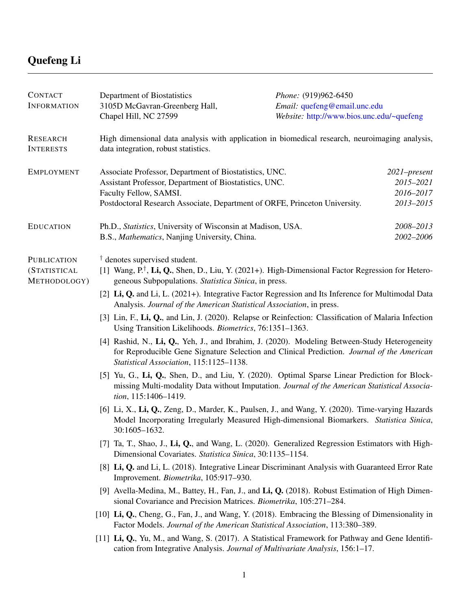## Quefeng Li

| <b>CONTACT</b><br><b>INFORMATION</b>               | Department of Biostatistics<br>3105D McGavran-Greenberg Hall,                                                                                                                                                                          | Phone: (919)962-6450<br>Email: quefeng@email.unc.edu                                           |  |  |
|----------------------------------------------------|----------------------------------------------------------------------------------------------------------------------------------------------------------------------------------------------------------------------------------------|------------------------------------------------------------------------------------------------|--|--|
|                                                    | Chapel Hill, NC 27599                                                                                                                                                                                                                  | Website: http://www.bios.unc.edu/~quefeng                                                      |  |  |
| <b>RESEARCH</b><br><b>INTERESTS</b>                | data integration, robust statistics.                                                                                                                                                                                                   | High dimensional data analysis with application in biomedical research, neuroimaging analysis, |  |  |
| <b>EMPLOYMENT</b>                                  | Associate Professor, Department of Biostatistics, UNC.<br>Assistant Professor, Department of Biostatistics, UNC.<br>Faculty Fellow, SAMSI.<br>Postdoctoral Research Associate, Department of ORFE, Princeton University.               | 2021-present<br>2015-2021<br>2016-2017<br>2013-2015                                            |  |  |
| <b>EDUCATION</b>                                   | Ph.D., Statistics, University of Wisconsin at Madison, USA.<br>B.S., Mathematics, Nanjing University, China.                                                                                                                           | 2008-2013<br>2002-2006                                                                         |  |  |
| <b>PUBLICATION</b><br>(STATISTICAL<br>METHODOLOGY) | $\dagger$ denotes supervised student.<br>[1] Wang, $P^{\dagger}$ , Li, Q., Shen, D., Liu, Y. (2021+). High-Dimensional Factor Regression for Hetero-<br>geneous Subpopulations. Statistica Sinica, in press.                           |                                                                                                |  |  |
|                                                    | [2] Li, Q. and Li, L. (2021+). Integrative Factor Regression and Its Inference for Multimodal Data<br>Analysis. Journal of the American Statistical Association, in press.                                                             |                                                                                                |  |  |
|                                                    | [3] Lin, F., Li, Q., and Lin, J. (2020). Relapse or Reinfection: Classification of Malaria Infection<br>Using Transition Likelihoods. <i>Biometrics</i> , 76:1351-1363.                                                                |                                                                                                |  |  |
|                                                    | [4] Rashid, N., Li, Q., Yeh, J., and Ibrahim, J. (2020). Modeling Between-Study Heterogeneity<br>for Reproducible Gene Signature Selection and Clinical Prediction. Journal of the American<br>Statistical Association, 115:1125-1138. |                                                                                                |  |  |
|                                                    | [5] Yu, G., Li, Q., Shen, D., and Liu, Y. (2020). Optimal Sparse Linear Prediction for Block-<br>missing Multi-modality Data without Imputation. Journal of the American Statistical Associa-<br>tion, 115:1406-1419.                  |                                                                                                |  |  |
|                                                    | [6] Li, X., Li, Q., Zeng, D., Marder, K., Paulsen, J., and Wang, Y. (2020). Time-varying Hazards<br>Model Incorporating Irregularly Measured High-dimensional Biomarkers. Statistica Sinica,<br>30:1605-1632.                          |                                                                                                |  |  |
|                                                    | [7] Ta, T., Shao, J., Li, Q., and Wang, L. (2020). Generalized Regression Estimators with High-<br>Dimensional Covariates. Statistica Sinica, 30:1135-1154.                                                                            |                                                                                                |  |  |
|                                                    | [8] Li, Q. and Li, L. (2018). Integrative Linear Discriminant Analysis with Guaranteed Error Rate<br>Improvement. Biometrika, 105:917-930.                                                                                             |                                                                                                |  |  |
|                                                    | [9] Avella-Medina, M., Battey, H., Fan, J., and Li, Q. (2018). Robust Estimation of High Dimen-<br>sional Covariance and Precision Matrices. <i>Biometrika</i> , 105:271–284.                                                          |                                                                                                |  |  |
|                                                    | [10] Li, Q., Cheng, G., Fan, J., and Wang, Y. (2018). Embracing the Blessing of Dimensionality in<br>Factor Models. Journal of the American Statistical Association, 113:380-389.                                                      |                                                                                                |  |  |
|                                                    | [11] Li, Q., Yu, M., and Wang, S. (2017). A Statistical Framework for Pathway and Gene Identifi-<br>cation from Integrative Analysis. Journal of Multivariate Analysis, 156:1-17.                                                      |                                                                                                |  |  |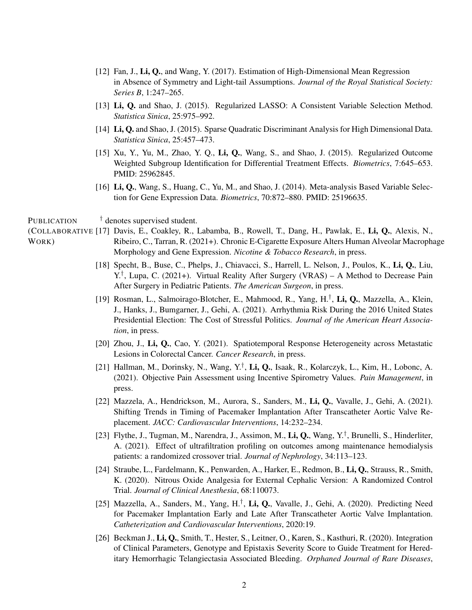- [12] Fan, J., Li, Q., and Wang, Y. (2017). Estimation of High-Dimensional Mean Regression in Absence of Symmetry and Light-tail Assumptions. *Journal of the Royal Statistical Society: Series B*, 1:247–265.
- [13] Li, Q. and Shao, J. (2015). Regularized LASSO: A Consistent Variable Selection Method. *Statistica Sinica*, 25:975–992.
- [14] Li, Q. and Shao, J. (2015). Sparse Quadratic Discriminant Analysis for High Dimensional Data. *Statistica Sinica*, 25:457–473.
- [15] Xu, Y., Yu, M., Zhao, Y. Q., Li, Q., Wang, S., and Shao, J. (2015). Regularized Outcome Weighted Subgroup Identification for Differential Treatment Effects. *Biometrics*, 7:645–653. PMID: 25962845.
- [16] Li, Q., Wang, S., Huang, C., Yu, M., and Shao, J. (2014). Meta-analysis Based Variable Selection for Gene Expression Data. *Biometrics*, 70:872–880. PMID: 25196635.

PUBLICATION † denotes supervised student.

- (COLLABORATIVE [17] Davis, E., Coakley, R., Labamba, B., Rowell, T., Dang, H., Pawlak, E., Li, Q., Alexis, N., WORK) Ribeiro, C., Tarran, R. (2021+). Chronic E-Cigarette Exposure Alters Human Alveolar Macrophage Morphology and Gene Expression. *Nicotine & Tobacco Research*, in press.
	- [18] Specht, B., Buse, C., Phelps, J., Chiavacci, S., Harrell, L. Nelson, J., Poulos, K., Li, Q., Liu, Y.† , Lupa, C. (2021+). Virtual Reality After Surgery (VRAS) – A Method to Decrease Pain After Surgery in Pediatric Patients. *The American Surgeon*, in press.
	- [19] Rosman, L., Salmoirago-Blotcher, E., Mahmood, R., Yang, H.<sup>†</sup>, Li, Q., Mazzella, A., Klein, J., Hanks, J., Bumgarner, J., Gehi, A. (2021). Arrhythmia Risk During the 2016 United States Presidential Election: The Cost of Stressful Politics. *Journal of the American Heart Association*, in press.
	- [20] Zhou, J., Li, Q., Cao, Y. (2021). Spatiotemporal Response Heterogeneity across Metastatic Lesions in Colorectal Cancer. *Cancer Research*, in press.
	- [21] Hallman, M., Dorinsky, N., Wang, Y.<sup>†</sup>, Li, Q., Isaak, R., Kolarczyk, L., Kim, H., Lobonc, A. (2021). Objective Pain Assessment using Incentive Spirometry Values. *Pain Management*, in press.
	- [22] Mazzela, A., Hendrickson, M., Aurora, S., Sanders, M., Li, Q., Vavalle, J., Gehi, A. (2021). Shifting Trends in Timing of Pacemaker Implantation After Transcatheter Aortic Valve Replacement. *JACC: Cardiovascular Interventions*, 14:232–234.
	- [23] Flythe, J., Tugman, M., Narendra, J., Assimon, M., Li, Q., Wang, Y.<sup>†</sup>, Brunelli, S., Hinderliter, A. (2021). Effect of ultrafiltration profiling on outcomes among maintenance hemodialysis patients: a randomized crossover trial. *Journal of Nephrology*, 34:113–123.
	- [24] Straube, L., Fardelmann, K., Penwarden, A., Harker, E., Redmon, B., Li, Q., Strauss, R., Smith, K. (2020). Nitrous Oxide Analgesia for External Cephalic Version: A Randomized Control Trial. *Journal of Clinical Anesthesia*, 68:110073.
	- [25] Mazzella, A., Sanders, M., Yang, H.<sup>†</sup>, Li, Q., Vavalle, J., Gehi, A. (2020). Predicting Need for Pacemaker Implantation Early and Late After Transcatheter Aortic Valve Implantation. *Catheterization and Cardiovascular Interventions*, 2020:19.
	- [26] Beckman J., Li, Q., Smith, T., Hester, S., Leitner, O., Karen, S., Kasthuri, R. (2020). Integration of Clinical Parameters, Genotype and Epistaxis Severity Score to Guide Treatment for Hereditary Hemorrhagic Telangiectasia Associated Bleeding. *Orphaned Journal of Rare Diseases*,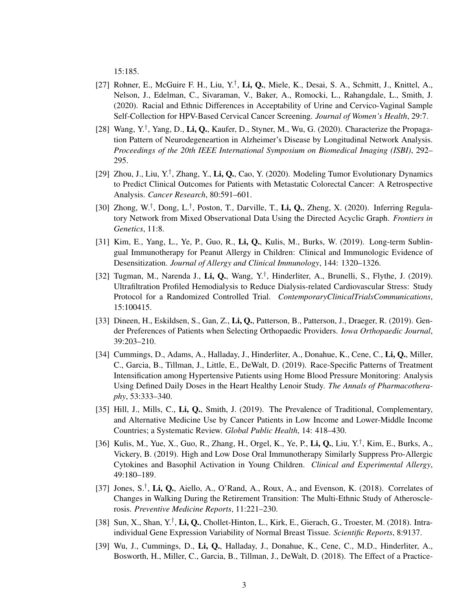15:185.

- [27] Rohner, E., McGuire F. H., Liu, Y.<sup>†</sup>, Li, Q., Miele, K., Desai, S. A., Schmitt, J., Knittel, A., Nelson, J., Edelman, C., Sivaraman, V., Baker, A., Romocki, L., Rahangdale, L., Smith, J. (2020). Racial and Ethnic Differences in Acceptability of Urine and Cervico-Vaginal Sample Self-Collection for HPV-Based Cervical Cancer Screening. *Journal of Women's Health*, 29:7.
- [28] Wang, Y.<sup>†</sup>, Yang, D., Li, Q., Kaufer, D., Styner, M., Wu, G. (2020). Characterize the Propagation Pattern of Neurodegeneartion in Alzheimer's Disease by Longitudinal Network Analysis. *Proceedings of the 20th IEEE International Symposium on Biomedical Imaging (ISBI)*, 292– 295.
- [29] Zhou, J., Liu, Y.<sup>†</sup>, Zhang, Y., Li, Q., Cao, Y. (2020). Modeling Tumor Evolutionary Dynamics to Predict Clinical Outcomes for Patients with Metastatic Colorectal Cancer: A Retrospective Analysis. *Cancer Research*, 80:591–601.
- [30] Zhong, W.<sup>†</sup>, Dong, L.<sup>†</sup>, Poston, T., Darville, T., Li, Q., Zheng, X. (2020). Inferring Regulatory Network from Mixed Observational Data Using the Directed Acyclic Graph. *Frontiers in Genetics*, 11:8.
- [31] Kim, E., Yang, L., Ye, P., Guo, R., Li, Q., Kulis, M., Burks, W. (2019). Long-term Sublingual Immunotherapy for Peanut Allergy in Children: Clinical and Immunologic Evidence of Desensitization. *Journal of Allergy and Clinical Immunology*, 144: 1320–1326.
- [32] Tugman, M., Narenda J., Li, Q., Wang, Y.<sup>†</sup>, Hinderliter, A., Brunelli, S., Flythe, J. (2019). Ultrafiltration Profiled Hemodialysis to Reduce Dialysis-related Cardiovascular Stress: Study Protocol for a Randomized Controlled Trial. *ContemporaryClinicalTrialsCommunications*, 15:100415.
- [33] Dineen, H., Eskildsen, S., Gan, Z., Li, Q., Patterson, B., Patterson, J., Draeger, R. (2019). Gender Preferences of Patients when Selecting Orthopaedic Providers. *Iowa Orthopaedic Journal*, 39:203–210.
- [34] Cummings, D., Adams, A., Halladay, J., Hinderliter, A., Donahue, K., Cene, C., Li, Q., Miller, C., Garcia, B., Tillman, J., Little, E., DeWalt, D. (2019). Race-Specific Patterns of Treatment Intensification among Hypertensive Patients using Home Blood Pressure Monitoring: Analysis Using Defined Daily Doses in the Heart Healthy Lenoir Study. *The Annals of Pharmacotheraphy*, 53:333–340.
- [35] Hill, J., Mills, C., Li, Q., Smith, J. (2019). The Prevalence of Traditional, Complementary, and Alternative Medicine Use by Cancer Patients in Low Income and Lower-Middle Income Countries; a Systematic Review. *Global Public Health*, 14: 418–430.
- [36] Kulis, M., Yue, X., Guo, R., Zhang, H., Orgel, K., Ye, P., Li, Q., Liu, Y.<sup>†</sup>, Kim, E., Burks, A., Vickery, B. (2019). High and Low Dose Oral Immunotherapy Similarly Suppress Pro-Allergic Cytokines and Basophil Activation in Young Children. *Clinical and Experimental Allergy*, 49:180–189.
- [37] Jones, S.<sup>†</sup>, Li, Q., Aiello, A., O'Rand, A., Roux, A., and Evenson, K. (2018). Correlates of Changes in Walking During the Retirement Transition: The Multi-Ethnic Study of Atherosclerosis. *Preventive Medicine Reports*, 11:221–230.
- [38] Sun, X., Shan, Y.<sup>†</sup>, Li, Q., Chollet-Hinton, L., Kirk, E., Gierach, G., Troester, M. (2018). Intraindividual Gene Expression Variability of Normal Breast Tissue. *Scientific Reports*, 8:9137.
- [39] Wu, J., Cummings, D., Li, Q., Halladay, J., Donahue, K., Cene, C., M.D., Hinderliter, A., Bosworth, H., Miller, C., Garcia, B., Tillman, J., DeWalt, D. (2018). The Effect of a Practice-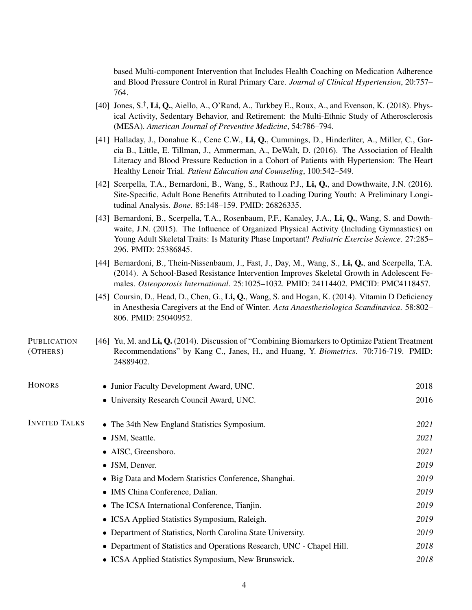based Multi-component Intervention that Includes Health Coaching on Medication Adherence and Blood Pressure Control in Rural Primary Care. *Journal of Clinical Hypertension*, 20:757– 764.

- [40] Jones, S.<sup>†</sup>, Li, Q., Aiello, A., O'Rand, A., Turkbey E., Roux, A., and Evenson, K. (2018). Physical Activity, Sedentary Behavior, and Retirement: the Multi-Ethnic Study of Atherosclerosis (MESA). *American Journal of Preventive Medicine*, 54:786–794.
- [41] Halladay, J., Donahue K., Cene C.W., Li, Q., Cummings, D., Hinderliter, A., Miller, C., Garcia B., Little, E. Tillman, J., Ammerman, A., DeWalt, D. (2016). The Association of Health Literacy and Blood Pressure Reduction in a Cohort of Patients with Hypertension: The Heart Healthy Lenoir Trial. *Patient Education and Counseling*, 100:542–549.
- [42] Scerpella, T.A., Bernardoni, B., Wang, S., Rathouz P.J., Li, Q., and Dowthwaite, J.N. (2016). Site-Specific, Adult Bone Benefits Attributed to Loading During Youth: A Preliminary Longitudinal Analysis. *Bone*. 85:148–159. PMID: 26826335.
- [43] Bernardoni, B., Scerpella, T.A., Rosenbaum, P.F., Kanaley, J.A., Li, Q., Wang, S. and Dowthwaite, J.N. (2015). The Influence of Organized Physical Activity (Including Gymnastics) on Young Adult Skeletal Traits: Is Maturity Phase Important? *Pediatric Exercise Science*. 27:285– 296. PMID: 25386845.
- [44] Bernardoni, B., Thein-Nissenbaum, J., Fast, J., Day, M., Wang, S., Li, Q., and Scerpella, T.A. (2014). A School-Based Resistance Intervention Improves Skeletal Growth in Adolescent Females. *Osteoporosis International*. 25:1025–1032. PMID: 24114402. PMCID: PMC4118457.
- [45] Coursin, D., Head, D., Chen, G., Li, Q., Wang, S. and Hogan, K. (2014). Vitamin D Deficiency in Anesthesia Caregivers at the End of Winter. *Acta Anaesthesiologica Scandinavica*. 58:802– 806. PMID: 25040952.

## PUBLICATION (OTHERS) [46] Yu, M. and Li, Q. (2014). Discussion of "Combining Biomarkers to Optimize Patient Treatment Recommendations" by Kang C., Janes, H., and Huang, Y. *Biometrics*. 70:716-719. PMID: 24889402.

| HONORS               | • Junior Faculty Development Award, UNC.                               | 2018 |
|----------------------|------------------------------------------------------------------------|------|
|                      | • University Research Council Award, UNC.                              | 2016 |
| <b>INVITED TALKS</b> | • The 34th New England Statistics Symposium.                           | 2021 |
|                      | • JSM, Seattle.                                                        | 2021 |
|                      | • AISC, Greensboro.                                                    | 2021 |
|                      | • JSM, Denver.                                                         | 2019 |
|                      | • Big Data and Modern Statistics Conference, Shanghai.                 | 2019 |
|                      | • IMS China Conference, Dalian.                                        | 2019 |
|                      | • The ICSA International Conference, Tianjin.                          | 2019 |
|                      | • ICSA Applied Statistics Symposium, Raleigh.                          | 2019 |
|                      | • Department of Statistics, North Carolina State University.           | 2019 |
|                      | • Department of Statistics and Operations Research, UNC - Chapel Hill. | 2018 |
|                      | • ICSA Applied Statistics Symposium, New Brunswick.                    | 2018 |
|                      |                                                                        |      |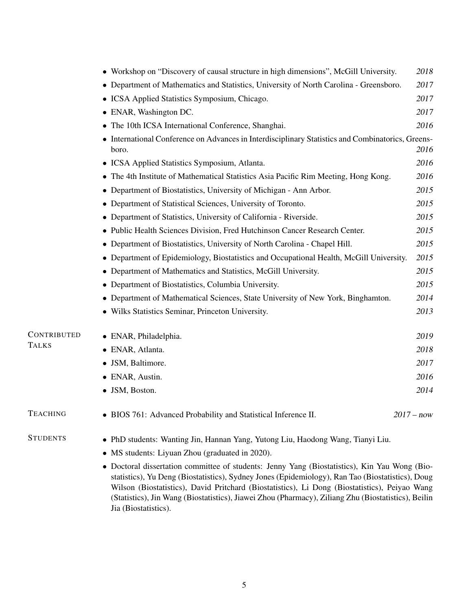|                 | • Workshop on "Discovery of causal structure in high dimensions", McGill University.                                                                                                                                                                                                                                                                                                                      | 2018         |  |  |
|-----------------|-----------------------------------------------------------------------------------------------------------------------------------------------------------------------------------------------------------------------------------------------------------------------------------------------------------------------------------------------------------------------------------------------------------|--------------|--|--|
|                 | • Department of Mathematics and Statistics, University of North Carolina - Greensboro.                                                                                                                                                                                                                                                                                                                    | 2017         |  |  |
|                 | • ICSA Applied Statistics Symposium, Chicago.                                                                                                                                                                                                                                                                                                                                                             | 2017         |  |  |
|                 | • ENAR, Washington DC.                                                                                                                                                                                                                                                                                                                                                                                    | 2017         |  |  |
|                 | The 10th ICSA International Conference, Shanghai.                                                                                                                                                                                                                                                                                                                                                         | 2016         |  |  |
|                 | • International Conference on Advances in Interdisciplinary Statistics and Combinatorics, Greens-<br>2016<br>boro.                                                                                                                                                                                                                                                                                        |              |  |  |
|                 | • ICSA Applied Statistics Symposium, Atlanta.                                                                                                                                                                                                                                                                                                                                                             | 2016         |  |  |
|                 | • The 4th Institute of Mathematical Statistics Asia Pacific Rim Meeting, Hong Kong.                                                                                                                                                                                                                                                                                                                       | 2016         |  |  |
|                 | • Department of Biostatistics, University of Michigan - Ann Arbor.                                                                                                                                                                                                                                                                                                                                        | 2015         |  |  |
|                 | • Department of Statistical Sciences, University of Toronto.                                                                                                                                                                                                                                                                                                                                              | 2015         |  |  |
|                 | • Department of Statistics, University of California - Riverside.                                                                                                                                                                                                                                                                                                                                         | 2015         |  |  |
|                 | • Public Health Sciences Division, Fred Hutchinson Cancer Research Center.                                                                                                                                                                                                                                                                                                                                | 2015         |  |  |
|                 | • Department of Biostatistics, University of North Carolina - Chapel Hill.                                                                                                                                                                                                                                                                                                                                | 2015         |  |  |
|                 | • Department of Epidemiology, Biostatistics and Occupational Health, McGill University.                                                                                                                                                                                                                                                                                                                   | 2015         |  |  |
|                 | • Department of Mathematics and Statistics, McGill University.                                                                                                                                                                                                                                                                                                                                            | 2015         |  |  |
|                 | • Department of Biostatistics, Columbia University.                                                                                                                                                                                                                                                                                                                                                       | 2015         |  |  |
|                 | • Department of Mathematical Sciences, State University of New York, Binghamton.                                                                                                                                                                                                                                                                                                                          | 2014         |  |  |
|                 | • Wilks Statistics Seminar, Princeton University.                                                                                                                                                                                                                                                                                                                                                         | 2013         |  |  |
| CONTRIBUTED     | • ENAR, Philadelphia.                                                                                                                                                                                                                                                                                                                                                                                     | 2019         |  |  |
| <b>TALKS</b>    | · ENAR, Atlanta.                                                                                                                                                                                                                                                                                                                                                                                          | 2018         |  |  |
|                 | • JSM, Baltimore.                                                                                                                                                                                                                                                                                                                                                                                         | 2017         |  |  |
|                 | • ENAR, Austin.                                                                                                                                                                                                                                                                                                                                                                                           | 2016         |  |  |
|                 | • JSM, Boston.                                                                                                                                                                                                                                                                                                                                                                                            | 2014         |  |  |
| <b>TEACHING</b> | • BIOS 761: Advanced Probability and Statistical Inference II.                                                                                                                                                                                                                                                                                                                                            | $2017 - now$ |  |  |
| <b>STUDENTS</b> | • PhD students: Wanting Jin, Hannan Yang, Yutong Liu, Haodong Wang, Tianyi Liu.                                                                                                                                                                                                                                                                                                                           |              |  |  |
|                 | • MS students: Liyuan Zhou (graduated in 2020).                                                                                                                                                                                                                                                                                                                                                           |              |  |  |
|                 | • Doctoral dissertation committee of students: Jenny Yang (Biostatistics), Kin Yau Wong (Bio-<br>statistics), Yu Deng (Biostatistics), Sydney Jones (Epidemiology), Ran Tao (Biostatistics), Doug<br>Wilson (Biostatistics), David Pritchard (Biostatistics), Li Dong (Biostatistics), Peiyao Wang<br>(Statistics), Jin Wang (Biostatistics), Jiawei Zhou (Pharmacy), Ziliang Zhu (Biostatistics), Beilin |              |  |  |

5

Jia (Biostatistics).